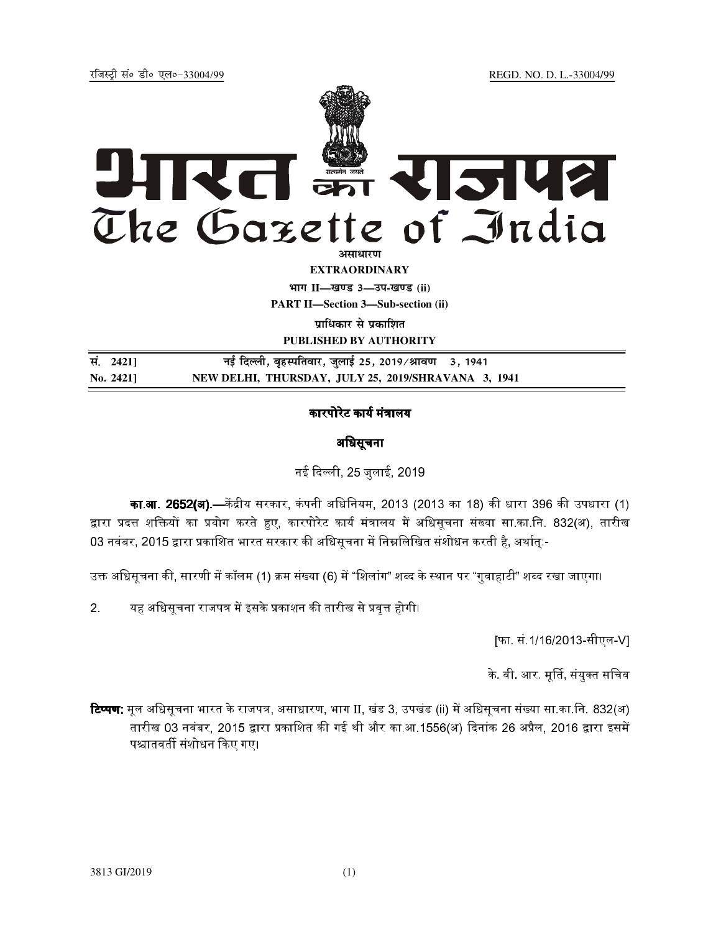jftLVªh laö Mhö ,yö&33004@99 REGD. NO. D. L.-33004/99



**EXTRAORDINARY Hkkx II—[k.M 3—mi-[k.M (ii)**

**PART II—Section 3—Sub-section (ii)** 

**पाधिकार से पकाशित** 

**PUBLISHED BY AUTHORITY**

<u>R</u>. 2421] बई दिल्ली, बृहस्पतिवार, जुलाई 25, 2019/श्रावण 3, 1941 **No. 2421] NEW DELHI, THURSDAY, JULY 25, 2019/SHRAVANA 3, 1941** 

## कारपोरेट कार्य मंत्रालय

# अधिसूचना

नई दिल्ली. 25 जलाई. 2019

**का.आ. 2652(अ).—**केंद्रीय सरकार. कंपनी अधिनियम. 2013 (2013 का 18) की धारा 396 की उपधारा (1) द्वारा प्रदत्त शक्तियों का प्रयोग करते हुए, कारपोरेट कार्य मंत्रालय में अधिसूचना संख्या सा.का.नि. 832(अ), तारीख 03 नवंबर. 2015 द्वारा प्रकाशित भारत सरकार की अधिसचना में निम्नलिखित संशोधन करती है. अर्थात:-

उक्त अधिसूचना की, सारणी में कॉलम (1) क्रम संख्या (6) में "शिलांग" शब्द के स्थान पर "गुवाहाटी" शब्द रखा जाएगा।

2. यह अधिसूचना राजपत्र में इसके प्रकाशन की तारीख से प्रवृत्त होगी।

[फा. सं.1/16/2013-सीएल-V]

के वी आर. मूर्ति, संयुक्त सचिव

**टिप्पण**: मूल अधिसूचना भारत के राजपत्र, असाधारण, भाग II, खंड 3, उपखंड (ii) में अधिसूचना संख्या सा.का.नि. 832(अ) तारीख 03 नवंबर. 2015 द्वारा प्रकाशित की गई थी और का.आ.1556(अ) दिनांक 26 अप्रैल. 2016 द्वारा इसमें पश्चातवर्ती संशोधन किए गए।